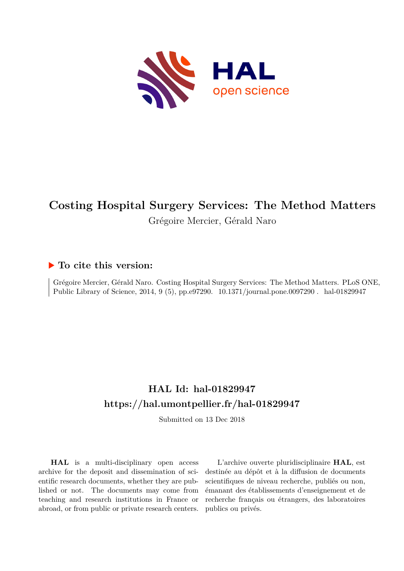

# **Costing Hospital Surgery Services: The Method Matters** Grégoire Mercier, Gérald Naro

# **To cite this version:**

Grégoire Mercier, Gérald Naro. Costing Hospital Surgery Services: The Method Matters. PLoS ONE, Public Library of Science, 2014, 9 (5), pp.e97290. 10.1371/journal.pone.0097290. hal-01829947

# **HAL Id: hal-01829947 <https://hal.umontpellier.fr/hal-01829947>**

Submitted on 13 Dec 2018

**HAL** is a multi-disciplinary open access archive for the deposit and dissemination of scientific research documents, whether they are published or not. The documents may come from teaching and research institutions in France or abroad, or from public or private research centers.

L'archive ouverte pluridisciplinaire **HAL**, est destinée au dépôt et à la diffusion de documents scientifiques de niveau recherche, publiés ou non, émanant des établissements d'enseignement et de recherche français ou étrangers, des laboratoires publics ou privés.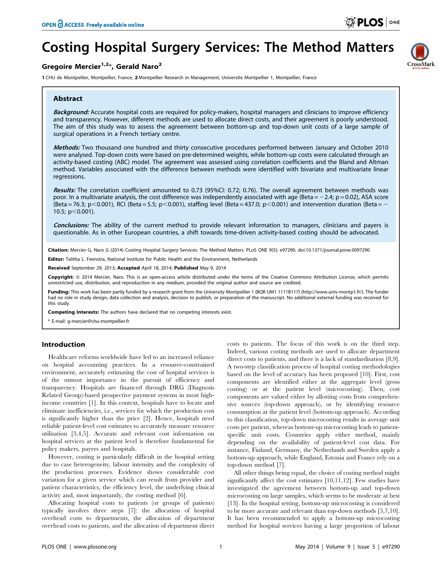CrossMark

# Costing Hospital Surgery Services: The Method Matters

# Gregoire Mercier<sup>1,2\*</sup>, Gerald Naro<sup>2</sup>

1 CHU de Montpellier, Montpellier, France, 2 Montpellier Research in Management, Universite Montpellier 1, Montpellier, France

# Abstract

Background: Accurate hospital costs are required for policy-makers, hospital managers and clinicians to improve efficiency and transparency. However, different methods are used to allocate direct costs, and their agreement is poorly understood. The aim of this study was to assess the agreement between bottom-up and top-down unit costs of a large sample of surgical operations in a French tertiary centre.

Methods: Two thousand one hundred and thirty consecutive procedures performed between January and October 2010 were analysed. Top-down costs were based on pre-determined weights, while bottom-up costs were calculated through an activity-based costing (ABC) model. The agreement was assessed using correlation coefficients and the Bland and Altman method. Variables associated with the difference between methods were identified with bivariate and multivariate linear regressions.

Results: The correlation coefficient amounted to 0.73 (95%CI: 0.72; 0.76). The overall agreement between methods was poor. In a multivariate analysis, the cost difference was independently associated with age (Beta =  $-2.4$ ; p = 0.02), ASA score (Beta = 76.3; p<0.001), RCI (Beta = 5.5; p<0.001), staffing level (Beta = 437.0; p<0.001) and intervention duration (Beta = 10.5;  $p<0.001$ ).

Conclusions: The ability of the current method to provide relevant information to managers, clinicians and payers is questionable. As in other European countries, a shift towards time-driven activity-based costing should be advocated.

Citation: Mercier G, Naro G (2014) Costing Hospital Surgery Services: The Method Matters. PLoS ONE 9(5): e97290. doi:10.1371/journal.pone.0097290

Editor: Talitha L. Feenstra, National Institute for Public Health and the Environment, Netherlands

Received September 29, 2013; Accepted April 18, 2014; Published May 9, 2014

Copyright: © 2014 Mercier, Naro. This is an open-access article distributed under the terms of the [Creative Commons Attribution License,](http://creativecommons.org/licenses/by/4.0/) which permits unrestricted use, distribution, and reproduction in any medium, provided the original author and source are credited.

Funding: This work has been partly funded by a research grant from the University Montpellier 1 (BQR UM1 1111B117) (http://www.univ-montp1.fr/). The funder had no role in study design, data collection and analysis, decision to publish, or preparation of the manuscript. No additional external funding was received for this study.

Competing Interests: The authors have declared that no competing interests exist.

\* E-mail: g-mercier@chu-montpellier.fr

# Introduction

Healthcare reforms worldwide have led to an increased reliance on hospital accounting practices. In a resource-constrained environment, accurately estimating the cost of hospital services is of the utmost importance in the pursuit of efficiency and transparency. Hospitals are financed through DRG (Diagnosis Related Group)-based prospective payment systems in most highincome countries [1]. In this context, hospitals have to locate and eliminate inefficiencies, i.e., services for which the production cost is significantly higher than the price [2]. Hence, hospitals need reliable patient-level cost estimates to accurately measure resource utilisation [3,4,5]. Accurate and relevant cost information on hospital services at the patient level is therefore fundamental for policy makers, payers and hospitals.

However, costing is particularly difficult in the hospital setting due to case heterogeneity, labour intensity and the complexity of the production processes. Evidence shows considerable cost variation for a given service which can result from provider and patient characteristics, the efficiency level, the underlying clinical activity and, most importantly, the costing method [6].

Allocating hospital costs to patients (or groups of patients) typically involves three steps [7]: the allocation of hospital overhead costs to departments, the allocation of department overhead costs to patients, and the allocation of department direct costs to patients. The focus of this work is on the third step. Indeed, various costing methods are used to allocate department direct costs to patients, and there is a lack of standardisation [8,9]. A two-step classification process of hospital costing methodologies based on the level of accuracy has been proposed [10]. First, cost components are identified either at the aggregate level (gross costing) or at the patient level (microcosting). Then, cost components are valued either by allotting costs from comprehensive sources (top-down approach), or by identifying resource consumption at the patient level (bottom-up approach). According to this classification, top-down microcosting results in average unit costs per patient, whereas bottom-up microcosting leads to patientspecific unit costs. Countries apply either method, mainly depending on the availability of patient-level cost data. For instance, Finland, Germany, the Netherlands and Sweden apply a bottom-up approach, while England, Estonia and France rely on a top-down method [7].

All other things being equal, the choice of costing method might significantly affect the cost estimates [10,11,12]. Few studies have investigated the agreement between bottom-up and top-down microcosting on large samples, which seems to be moderate at best [13]. In the hospital setting, bottom-up microcosting is considered to be more accurate and relevant than top-down methods [5,7,10]. It has been recommended to apply a bottom-up microcosting method for hospital services having a large proportion of labour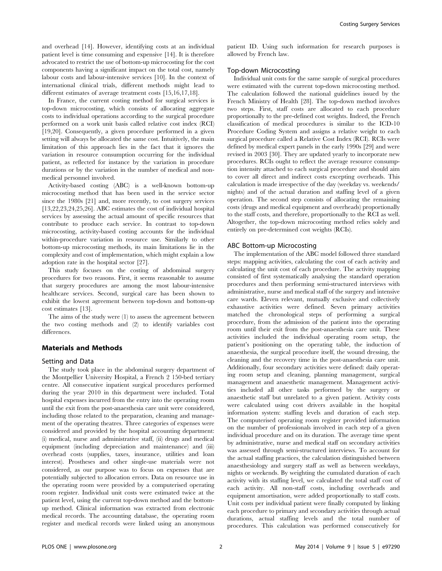and overhead [14]. However, identifying costs at an individual patient level is time consuming and expensive [14]. It is therefore advocated to restrict the use of bottom-up microcosting for the cost components having a significant impact on the total cost, namely labour costs and labour-intensive services [10]. In the context of international clinical trials, different methods might lead to different estimates of average treatment costs [15,16,17,18].

In France, the current costing method for surgical services is top-down microcosting, which consists of allocating aggregate costs to individual operations according to the surgical procedure performed on a work unit basis called relative cost index (RCI) [19,20]. Consequently, a given procedure performed in a given setting will always be allocated the same cost. Intuitively, the main limitation of this approach lies in the fact that it ignores the variation in resource consumption occurring for the individual patient, as reflected for instance by the variation in procedure durations or by the variation in the number of medical and nonmedical personnel involved.

Activity-based costing (ABC) is a well-known bottom-up microcosting method that has been used in the service sector since the 1980s [21] and, more recently, to cost surgery services [13,22,23,24,25,26]. ABC estimates the cost of individual hospital services by assessing the actual amount of specific resources that contribute to produce each service. In contrast to top-down microcosting, activity-based costing accounts for the individual within-procedure variation in resource use. Similarly to other bottom-up microcosting methods, its main limitations lie in the complexity and cost of implementation, which might explain a low adoption rate in the hospital sector [27].

This study focuses on the costing of abdominal surgery procedures for two reasons. First, it seems reasonable to assume that surgery procedures are among the most labour-intensive healthcare services. Second, surgical care has been shown to exhibit the lowest agreement between top-down and bottom-up cost estimates [13].

The aims of the study were (1) to assess the agreement between the two costing methods and (2) to identify variables cost differences.

### Materials and Methods

# Setting and Data

The study took place in the abdominal surgery department of the Montpellier University Hospital, a French 2 150-bed tertiary centre. All consecutive inpatient surgical procedures performed during the year 2010 in this department were included. Total hospital expenses incurred from the entry into the operating room until the exit from the post-anaesthesia care unit were considered, including those related to the preparation, cleaning and management of the operating theatres. Three categories of expenses were considered and provided by the hospital accounting department: (i) medical, nurse and administrative staff, (ii) drugs and medical equipment (including depreciation and maintenance) and (iii) overhead costs (supplies, taxes, insurance, utilities and loan interest). Prostheses and other single-use materials were not considered, as our purpose was to focus on expenses that are potentially subjected to allocation errors. Data on resource use in the operating room were provided by a computerised operating room register. Individual unit costs were estimated twice at the patient level, using the current top-down method and the bottomup method. Clinical information was extracted from electronic medical records. The accounting database, the operating room register and medical records were linked using an anonymous

patient ID. Using such information for research purposes is allowed by French law.

# Top-down Microcosting

Individual unit costs for the same sample of surgical procedures were estimated with the current top-down microcosting method. The calculation followed the national guidelines issued by the French Ministry of Health [28]. The top-down method involves two steps. First, staff costs are allocated to each procedure proportionally to the pre-defined cost weights. Indeed, the French classification of medical procedures is similar to the ICD-10 Procedure Coding System and assigns a relative weight to each surgical procedure called a Relative Cost Index (RCI). RCIs were defined by medical expert panels in the early 1990s [29] and were revised in 2003 [30]. They are updated yearly to incorporate new procedures. RCIs ought to reflect the average resource consumption intensity attached to each surgical procedure and should aim to cover all direct and indirect costs excepting overheads. This calculation is made irrespective of the day (weekday vs. weekends/ nights) and of the actual duration and staffing level of a given operation. The second step consists of allocating the remaining costs (drugs and medical equipment and overheads) proportionally to the staff costs, and therefore, proportionally to the RCI as well. Altogether, the top-down microcosting method relies solely and entirely on pre-determined cost weights (RCIs).

#### ABC Bottom-up Microcosting

The implementation of the ABC model followed three standard steps: mapping activities, calculating the cost of each activity and calculating the unit cost of each procedure. The activity mapping consisted of first systematically analysing the standard operation procedures and then performing semi-structured interviews with administrative, nurse and medical staff of the surgery and intensive care wards. Eleven relevant, mutually exclusive and collectively exhaustive activities were defined. Seven primary activities matched the chronological steps of performing a surgical procedure, from the admission of the patient into the operating room until their exit from the post-anaesthesia care unit. These activities included the individual operating room setup, the patient's positioning on the operating table, the induction of anaesthesia, the surgical procedure itself, the wound dressing, the cleaning and the recovery time in the post-anaesthesia care unit. Additionally, four secondary activities were defined: daily operating room setup and cleaning, planning management, surgical management and anaesthetic management. Management activities included all other tasks performed by the surgery or anaesthetic staff but unrelated to a given patient. Activity costs were calculated using cost drivers available in the hospital information system: staffing levels and duration of each step. The computerised operating room register provided information on the number of professionals involved in each step of a given individual procedure and on its duration. The average time spent by administrative, nurse and medical staff on secondary activities was assessed through semi-structured interviews. To account for the actual staffing practices, the calculation distinguished between anaesthesiology and surgery staff as well as between weekdays, nights or weekends. By weighting the cumulated duration of each activity with its staffing level, we calculated the total staff cost of each activity. All non-staff costs, including overheads and equipment amortisation, were added proportionally to staff costs. Unit costs per individual patient were finally computed by linking each procedure to primary and secondary activities through actual durations, actual staffing levels and the total number of procedures. This calculation was performed consecutively for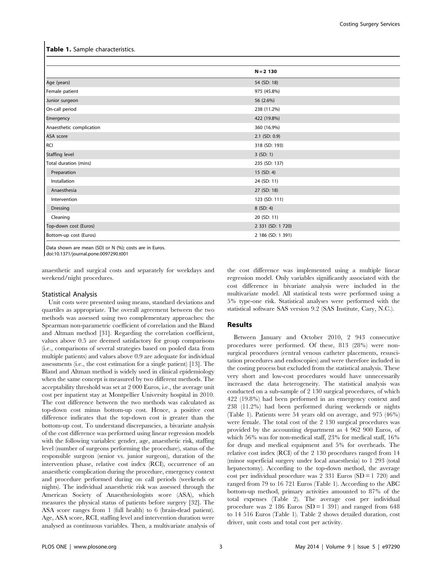#### Table 1. Sample characteristics.

|                          | $N = 2$ 130       |
|--------------------------|-------------------|
| Age (years)              | 54 (SD: 18)       |
| Female patient           | 975 (45.8%)       |
| Junior surgeon           | 56 (2.6%)         |
| On-call period           | 238 (11.2%)       |
| Emergency                | 422 (19.8%)       |
| Anaesthetic complication | 360 (16.9%)       |
| ASA score                | $2.1$ (SD: 0.9)   |
| <b>RCI</b>               | 318 (SD: 193)     |
| <b>Staffing level</b>    | 3 (SD: 1)         |
| Total duration (mins)    | 235 (SD: 137)     |
| Preparation              | $15$ (SD: 4)      |
| Installation             | 24 (SD: 11)       |
| Anaesthesia              | 27 (SD: 18)       |
| Intervention             | 123 (SD: 111)     |
| Dressing                 | 8 (SD: 4)         |
| Cleaning                 | 20 (SD: 11)       |
| Top-down cost (Euros)    | 2 331 (SD: 1 720) |
| Bottom-up cost (Euros)   | 2 186 (SD: 1 391) |

Data shown are mean (SD) or N (%); costs are in Euros. doi:10.1371/journal.pone.0097290.t001

anaesthetic and surgical costs and separately for weekdays and weekend/night procedures.

#### Statistical Analysis

Unit costs were presented using means, standard deviations and quartiles as appropriate. The overall agreement between the two methods was assessed using two complementary approaches: the Spearman non-parametric coefficient of correlation and the Bland and Altman method [31]. Regarding the correlation coefficient, values above 0.5 are deemed satisfactory for group comparisons (i.e., comparisons of several strategies based on pooled data from multiple patients) and values above 0.9 are adequate for individual assessments (i.e., the cost estimation for a single patient) [13]. The Bland and Altman method is widely used in clinical epidemiology when the same concept is measured by two different methods. The acceptability threshold was set at 2 000 Euros, i.e., the average unit cost per inpatient stay at Montpellier University hospital in 2010. The cost difference between the two methods was calculated as top-down cost minus bottom-up cost. Hence, a positive cost difference indicates that the top-down cost is greater than the bottom-up cost. To understand discrepancies, a bivariate analysis of the cost difference was performed using linear regression models with the following variables: gender, age, anaesthetic risk, staffing level (number of surgeons performing the procedure), status of the responsible surgeon (senior vs. junior surgeon), duration of the intervention phase, relative cost index (RCI), occurrence of an anaesthetic complication during the procedure, emergency context and procedure performed during on call periods (weekends or nights). The individual anaesthetic risk was assessed through the American Society of Anaesthesiologists score (ASA), which measures the physical status of patients before surgery [32]. The ASA score ranges from 1 (full health) to 6 (brain-dead patient). Age, ASA score, RCI, staffing level and intervention duration were analysed as continuous variables. Then, a multivariate analysis of the cost difference was implemented using a multiple linear regression model. Only variables significantly associated with the cost difference in bivariate analysis were included in the multivariate model. All statistical tests were performed using a 5% type-one risk. Statistical analyses were performed with the statistical software SAS version 9.2 (SAS Institute, Cary, N.C.).

### Results

Between January and October 2010, 2 943 consecutive procedures were performed. Of these, 813 (28%) were nonsurgical procedures (central venous catheter placements, resuscitation procedures and endoscopies) and were therefore included in the costing process but excluded from the statistical analysis. These very short and low-cost procedures would have unnecessarily increased the data heterogeneity. The statistical analysis was conducted on a sub-sample of 2 130 surgical procedures, of which 422 (19.8%) had been performed in an emergency context and 238 (11.2%) had been performed during weekends or nights (Table 1). Patients were 54 years old on average, and 975 (46%) were female. The total cost of the 2 130 surgical procedures was provided by the accounting department as 4 962 900 Euros, of which 56% was for non-medical staff, 23% for medical staff, 16% for drugs and medical equipment and 5% for overheads. The relative cost index (RCI) of the 2 130 procedures ranged from 14 (minor superficial surgery under local anaesthesia) to 1 293 (total hepatectomy). According to the top-down method, the average cost per individual procedure was 2 331 Euros  $(SD = 1 720)$  and ranged from 79 to 16 721 Euros (Table 1). According to the ABC bottom-up method, primary activities amounted to 87% of the total expenses (Table 2). The average cost per individual procedure was  $2 \ 186$  Euros (SD = 1 391) and ranged from 648 to 14 516 Euros (Table 1). Table 2 shows detailed duration, cost driver, unit costs and total cost per activity.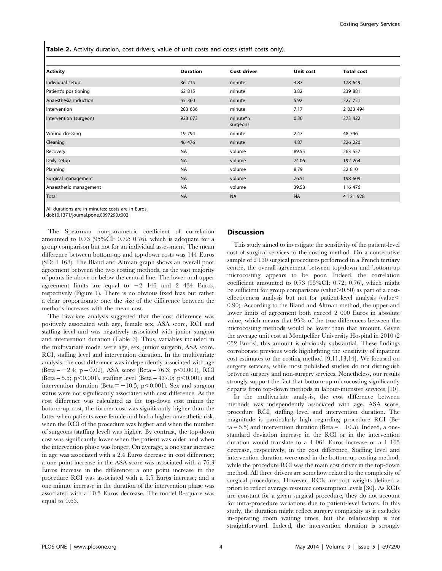Table 2. Activity duration, cost drivers, value of unit costs and costs (staff costs only).

| <b>Activity</b>        | <b>Duration</b> | <b>Cost driver</b>   | Unit cost | <b>Total cost</b> |
|------------------------|-----------------|----------------------|-----------|-------------------|
| Individual setup       | 36 715          | minute               | 4.87      | 178 649           |
| Patient's positioning  | 62 815          | minute               | 3.82      | 239 881           |
| Anaesthesia induction  | 55 360          | minute               | 5.92      | 327 751           |
| <b>Intervention</b>    | 283 636         | minute               | 7.17      | 2 033 494         |
| Intervention (surgeon) | 923 673         | minute*n<br>surgeons | 0.30      | 273 422           |
| Wound dressing         | 19 794          | minute               | 2.47      | 48 796            |
| Cleaning               | 46 476          | minute               | 4.87      | 226 220           |
| Recovery               | <b>NA</b>       | volume               | 89.55     | 263 557           |
| Daily setup            | <b>NA</b>       | volume               | 74.06     | 192 264           |
| Planning               | <b>NA</b>       | volume               | 8.79      | 22 810            |
| Surgical management    | <b>NA</b>       | volume               | 76.51     | 198 609           |
| Anaesthetic management | <b>NA</b>       | volume               | 39.58     | 116 476           |
| <b>Total</b>           | <b>NA</b>       | <b>NA</b>            | <b>NA</b> | 4 121 928         |

All durations are in minutes; costs are in Euros.

doi:10.1371/journal.pone.0097290.t002

The Spearman non-parametric coefficient of correlation amounted to 0.73 (95%CI: 0.72; 0.76), which is adequate for a group comparison but not for an individual assessment. The mean difference between bottom-up and top-down costs was 144 Euros (SD: 1 168). The Bland and Altman graph shows an overall poor agreement between the two costing methods, as the vast majority of points lie above or below the central line. The lower and upper agreement limits are equal to  $-2$  146 and 2 434 Euros, respectively (Figure 1). There is no obvious fixed bias but rather a clear proportionate one: the size of the difference between the methods increases with the mean cost.

The bivariate analysis suggested that the cost difference was positively associated with age, female sex, ASA score, RCI and staffing level and was negatively associated with junior surgeon and intervention duration (Table 3). Thus, variables included in the multivariate model were age, sex, junior surgeon, ASA score, RCI, staffing level and intervention duration. In the multivariate analysis, the cost difference was independently associated with age  $(Beta = -2.4; p = 0.02), ASA score (Beta = 76.3; p < 0.001), RCI$ (Beta = 5.5; p $< 0.001$ ), staffing level (Beta = 437.0; p $< 0.001$ ) and intervention duration (Beta  $= -10.5$ ; p $< 0.001$ ). Sex and surgeon status were not significantly associated with cost difference. As the cost difference was calculated as the top-down cost minus the bottom-up cost, the former cost was significantly higher than the latter when patients were female and had a higher anaesthetic risk, when the RCI of the procedure was higher and when the number of surgeons (staffing level) was higher. By contrast, the top-down cost was significantly lower when the patient was older and when the intervention phase was longer. On average, a one year increase in age was associated with a 2.4 Euros decrease in cost difference; a one point increase in the ASA score was associated with a 76.3 Euros increase in the difference; a one point increase in the procedure RCI was associated with a 5.5 Euros increase; and a one minute increase in the duration of the intervention phase was associated with a 10.5 Euros decrease. The model R-square was equal to 0.63.

# **Discussion**

This study aimed to investigate the sensitivity of the patient-level cost of surgical services to the costing method. On a consecutive sample of 2 130 surgical procedures performed in a French tertiary centre, the overall agreement between top-down and bottom-up microcosting appears to be poor. Indeed, the correlation coefficient amounted to 0.73 (95%CI: 0.72; 0.76), which might be sufficient for group comparisons (value $\geq 0.50$ ) as part of a costeffectiveness analysis but not for patient-level analysis (value $<$ 0.90). According to the Bland and Altman method, the upper and lower limits of agreement both exceed 2 000 Euros in absolute value, which means that 95% of the true differences between the microcosting methods would be lower than that amount. Given the average unit cost at Montpellier University Hospital in 2010 (2 052 Euros), this amount is obviously substantial. These findings corroborate previous work highlighting the sensitivity of inpatient cost estimates to the costing method [9,11,13,14]. We focused on surgery services, while most published studies do not distinguish between surgery and non-surgery services. Nonetheless, our results strongly support the fact that bottom-up microcosting significantly departs from top-down methods in labour-intensive services [10].

In the multivariate analysis, the cost difference between methods was independently associated with age, ASA score, procedure RCI, staffing level and intervention duration. The magnitude is particularly high regarding procedure RCI (Be $ta = 5.5$ ) and intervention duration (Beta = -10.5). Indeed, a onestandard deviation increase in the RCI or in the intervention duration would translate to a 1 061 Euros increase or a 1 165 decrease, respectively, in the cost difference. Staffing level and intervention duration were used in the bottom-up costing method, while the procedure RCI was the main cost driver in the top-down method. All three drivers are somehow related to the complexity of surgical procedures. However, RCIs are cost weights defined a priori to reflect average resource consumption levels [30]. As RCIs are constant for a given surgical procedure, they do not account for intra-procedure variations due to patient-level factors. In this study, the duration might reflect surgery complexity as it excludes in-operating room waiting times, but the relationship is not straightforward. Indeed, the intervention duration is strongly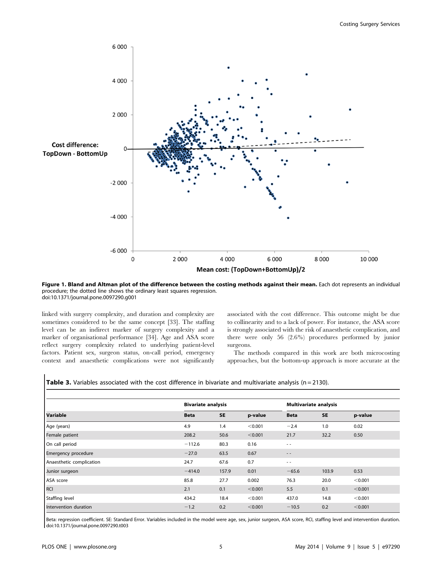

Figure 1. Bland and Altman plot of the difference between the costing methods against their mean. Each dot represents an individual procedure; the dotted line shows the ordinary least squares regression. doi:10.1371/journal.pone.0097290.g001

linked with surgery complexity, and duration and complexity are sometimes considered to be the same concept [33]. The staffing level can be an indirect marker of surgery complexity and a marker of organisational performance [34]. Age and ASA score reflect surgery complexity related to underlying patient-level factors. Patient sex, surgeon status, on-call period, emergency context and anaesthetic complications were not significantly associated with the cost difference. This outcome might be due to collinearity and to a lack of power. For instance, the ASA score is strongly associated with the risk of anaesthetic complication, and there were only 56 (2.6%) procedures performed by junior surgeons.

The methods compared in this work are both microcosting approaches, but the bottom-up approach is more accurate at the

| <b>Table 3.</b> Variables associated with the cost difference in bivariate and multivariate analysis ( $n = 2130$ ). |  |  |
|----------------------------------------------------------------------------------------------------------------------|--|--|
|----------------------------------------------------------------------------------------------------------------------|--|--|

| Variable                   |             | <b>Bivariate analysis</b> |         |               | <b>Multivariate analysis</b> |         |  |
|----------------------------|-------------|---------------------------|---------|---------------|------------------------------|---------|--|
|                            | <b>Beta</b> | <b>SE</b>                 | p-value | <b>Beta</b>   | <b>SE</b>                    | p-value |  |
| Age (years)                | 4.9         | 1.4                       | < 0.001 | $-2.4$        | 1.0                          | 0.02    |  |
| Female patient             | 208.2       | 50.6                      | < 0.001 | 21.7          | 32.2                         | 0.50    |  |
| On call period             | $-112.6$    | 80.3                      | 0.16    | $\sim$ $\sim$ |                              |         |  |
| <b>Emergency procedure</b> | $-27.0$     | 63.5                      | 0.67    | $\frac{1}{2}$ |                              |         |  |
| Anaesthetic complication   | 24.7        | 67.6                      | 0.7     | $\sim$ $\sim$ |                              |         |  |
| Junior surgeon             | $-414.0$    | 157.9                     | 0.01    | $-65.6$       | 103.9                        | 0.53    |  |
| ASA score                  | 85.8        | 27.7                      | 0.002   | 76.3          | 20.0                         | < 0.001 |  |
| RCI                        | 2.1         | 0.1                       | < 0.001 | 5.5           | 0.1                          | < 0.001 |  |
| Staffing level             | 434.2       | 18.4                      | < 0.001 | 437.0         | 14.8                         | < 0.001 |  |
| Intervention duration      | $-1.2$      | 0.2                       | < 0.001 | $-10.5$       | 0.2                          | < 0.001 |  |

Beta: regression coefficient. SE: Standard Error. Variables included in the model were age, sex, junior surgeon, ASA score, RCI, staffing level and intervention duration. doi:10.1371/journal.pone.0097290.t003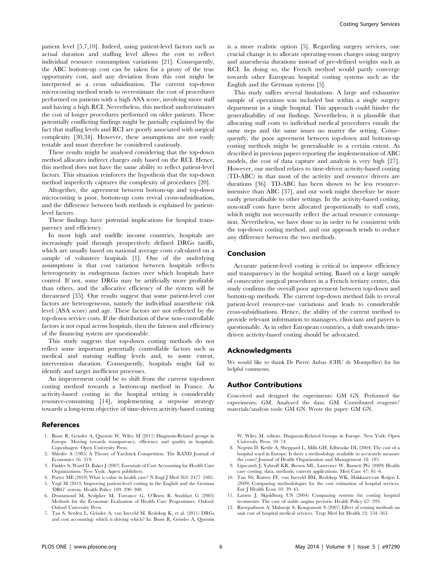patient level [5,7,10]. Indeed, using patient-level factors such as actual duration and staffing level allows the cost to reflect individual resource consumption variations [21]. Consequently, the ABC bottom-up cost can be taken for a proxy of the true opportunity cost, and any deviation from this cost might be interpreted as a cross subsidisation. The current top-down microcosting method tends to overestimate the cost of procedures performed on patients with a high ASA score, involving more staff and having a high RCI. Nevertheless, this method underestimates the cost of longer procedures performed on older patients. These potentially conflicting findings might be partially explained by the fact that staffing levels and RCI are poorly associated with surgical complexity [30,34]. However, these assumptions are not easily testable and must therefore be considered cautiously.

These results might be analysed considering that the top-down method allocates indirect charges only based on the RCI. Hence, this method does not have the same ability to reflect patient-level factors. This situation reinforces the hypothesis that the top-down method imperfectly captures the complexity of procedures [20].

Altogether, the agreement between bottom-up and top-down microcosting is poor, bottom-up costs reveal cross-subsidisation, and the difference between both methods is explained by patientlevel factors.

These findings have potential implications for hospital transparency and efficiency.

In most high and middle income countries, hospitals are increasingly paid through prospectively defined DRGs tariffs, which are usually based on national average costs calculated on a sample of volunteer hospitals [1]. One of the underlying assumptions is that cost variation between hospitals reflects heterogeneity in endogenous factors over which hospitals have control. If not, some DRGs may be artificially more profitable than others, and the allocative efficiency of the system will be threatened [35]. Our results suggest that some patient-level cost factors are heterogeneous, namely the individual anaesthetic risk level (ASA score) and age. These factors are not reflected by the top-down service costs. If the distribution of these non-controllable factors is not equal across hospitals, then the fairness and efficiency of the financing system are questionable.

This study suggests that top-down costing methods do not reflect some important potentially controllable factors such as medical and nursing staffing levels and, to some extent, intervention duration. Consequently, hospitals might fail to identify and target inefficient processes.

An improvement could be to shift from the current top-down costing method towards a bottom-up method in France. As activity-based costing in the hospital setting is considerably resource-consuming [14], implementing a stepwise strategy towards a long-term objective of time-driven activity-based costing

#### References

- 1. Busse R, Geissler A, Quentin W, Wiley M (2011) Diagnosis-Related groups in Europe. Moving towards transparency, efficiency and quality in hospitals. Copenhagen: Open University Press.
- 2. Shleifer A (1985) A Theory of Yardstick Competition. The RAND Journal of Economics 16: 319.
- 3. Finkler S, Ward D, Baker J (2007) Essentials of Cost Accounting for Health Care Organizations. New York: Aspen publishers.
- 4. Porter ME (2010) What is value in health care? N Engl J Med 363: 2477–2481.
- 5. Vogl M (2013) Improving patient-level costing in the English and the German 'DRG' system. Health Policy 109: 290–300.
- 6. Drummond M, Sculpher M, Torrance G, O'Brien B, Stoddart G (2005) Methods for the Economic Evaluation of Health Care Programmes. Oxford: Oxford University Press.
- 7. Tan S, Serdén L, Geissler A, van Ineveld M, Redekop K, et al. (2011) DRGs and cost accounting: which is driving which? In: Busse R, Geissler A, Quentin

is a more realistic option [5]. Regarding surgery services, one crucial change is to allocate operating-room charges using surgery and anaesthesia durations instead of pre-defined weights such as RCI. In doing so, the French method would partly converge towards other European hospital costing systems such as the English and the German systems [5].

This study suffers several limitations. A large and exhaustive sample of operations was included but within a single surgery department in a single hospital. This approach could hinder the generalisability of our findings. Nevertheless, it is plausible that allocating staff costs to individual medical procedures entails the same steps and the same issues no matter the setting. Consequently, the poor agreement between top-down and bottom-up costing methods might be generalisable to a certain extent. As described in previous papers reporting the implementation of ABC models, the cost of data capture and analysis is very high [27]. However, our method relates to time-driven activity-based costing (TD-ABC) in that most of the activity and resource drivers are durations [36]. TD-ABC has been shown to be less resourceintensive than ABC [37], and our work might therefore be more easily generalisable to other settings. In the activity-based costing, non-staff costs have been allocated proportionally to staff costs, which might not necessarily reflect the actual resource consumption. Nevertheless, we have done so in order to be consistent with the top-down costing method, and our approach tends to reduce any difference between the two methods.

# Conclusion

Accurate patient-level costing is critical to improve efficiency and transparency in the hospital setting. Based on a large sample of consecutive surgical procedures in a French tertiary centre, this study confirms the overall poor agreement between top-down and bottom-up methods. The current top-down method fails to reveal patient-level resource-use variations and leads to considerable cross-subsidisations. Hence, the ability of the current method to provide relevant information to managers, clinicians and payers is questionable. As in other European countries, a shift towards timedriven activity-based costing should be advocated.

#### Acknowledgments

We would like to thank Dr Pierre Aubas (CHU de Montpellier) for his helpful comments.

### Author Contributions

Conceived and designed the experiments: GM GN. Performed the experiments: GM. Analyzed the data: GM. Contributed reagents/ materials/analysis tools: GM GN. Wrote the paper: GM GN.

W, Wiley M, editors. Diagnosis-Related Groups in Europe. New York: Open University Press. 59–74.

- 8. Negrini D, Kettle A, Sheppard L, Mills GH, Edbrooke DL (2004) The cost of a hospital ward in Europe: Is there a methodology available to accurately measure the costs? Journal of Health Organization and Management 18: 195.
- 9. Lipscomb J, Yabroff KR, Brown ML, Lawrence W, Barnett PG (2009) Health care costing: data, methods, current applications. Med Care 47: S1–6.
- 10. Tan SS, Rutten FF, van Ineveld BM, Redekop WK, Hakkaart-van Roijen L (2009) Comparing methodologies for the cost estimation of hospital services. Eur J Health Econ 10: 39–45.
- 11. Larsen J, Skjoldborg US (2004) Comparing systems for costing hospital treatments: The case of stable angina pectoris. Health Policy 67: 293.
- 12. Riewpaiboon A, Malaroje S, Kongsawatt S (2007) Effect of costing methods on unit cost of hospital medical services. Trop Med Int Health 12: 554–563.